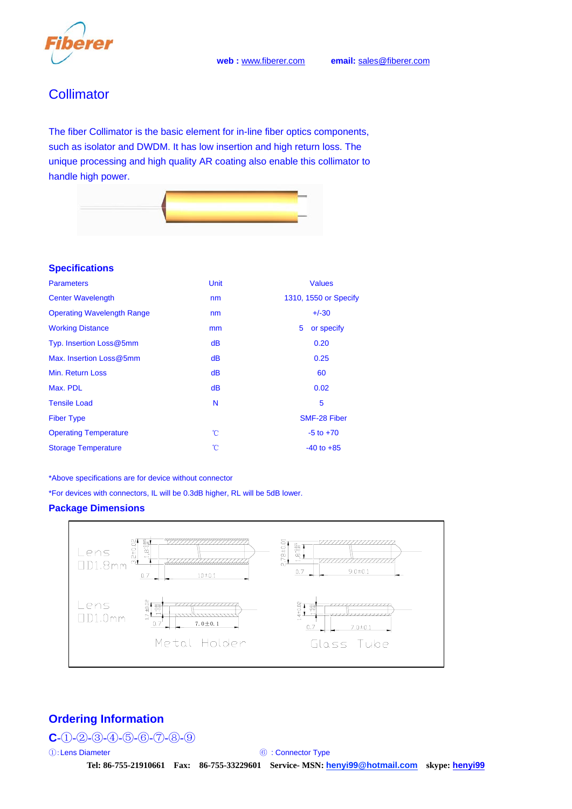# **Collimator**

The fiber Collimator is the basic element for in-line fiber optics components, such as isolator and DWDM. It has low insertion and high return loss. The unique processing and high quality AR coating also enable this collimator to handle high power.



## **Specifications**

| <b>Parameters</b>                 | Unit          | <b>Values</b>         |
|-----------------------------------|---------------|-----------------------|
| <b>Center Wavelength</b>          | nm            | 1310, 1550 or Specify |
| <b>Operating Wavelength Range</b> | nm            | $+/-30$               |
| <b>Working Distance</b>           | mm            | 5<br>or specify       |
| Typ. Insertion Loss@5mm           | dB            | 0.20                  |
| Max. Insertion Loss@5mm           | dB            | 0.25                  |
| Min. Return Loss                  | dB            | 60                    |
| Max. PDL                          | dB            | 0.02                  |
| <b>Tensile Load</b>               | N             | 5                     |
| <b>Fiber Type</b>                 |               | <b>SMF-28 Fiber</b>   |
| <b>Operating Temperature</b>      | $\mathcal{C}$ | $-5$ to $+70$         |
| <b>Storage Temperature</b>        | °C            | $-40$ to $+85$        |

\*Above specifications are for device without connector

\*For devices with connectors, IL will be 0.3dB higher, RL will be 5dB lower.

### **Package Dimensions**



## **Ordering Information**

## **C**-①-②-③-④-⑤-⑥-⑦-⑧-⑨